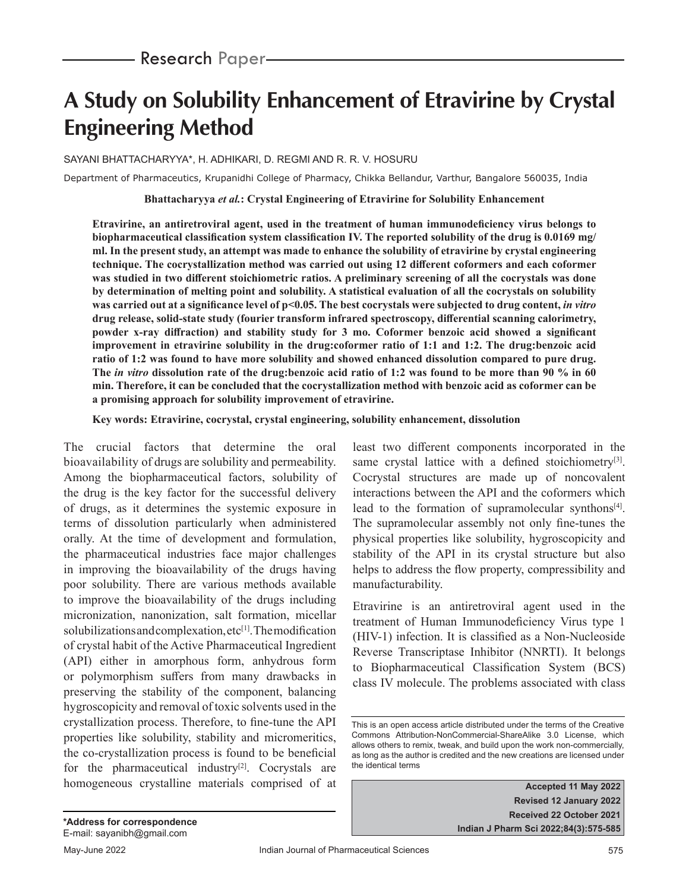# **A Study on Solubility Enhancement of Etravirine by Crystal Engineering Method**

SAYANI BHATTACHARYYA\*, H. ADHIKARI, D. REGMI AND R. R. V. HOSURU

Department of Pharmaceutics, Krupanidhi College of Pharmacy, Chikka Bellandur, Varthur, Bangalore 560035, India

#### **Bhattacharyya** *et al.***: Crystal Engineering of Etravirine for Solubility Enhancement**

**Etravirine, an antiretroviral agent, used in the treatment of human immunodeficiency virus belongs to biopharmaceutical classification system classification IV. The reported solubility of the drug is 0.0169 mg/ ml. In the present study, an attempt was made to enhance the solubility of etravirine by crystal engineering technique. The cocrystallization method was carried out using 12 different coformers and each coformer was studied in two different stoichiometric ratios. A preliminary screening of all the cocrystals was done by determination of melting point and solubility. A statistical evaluation of all the cocrystals on solubility was carried out at a significance level of p<0.05. The best cocrystals were subjected to drug content,** *in vitro* **drug release, solid-state study (fourier transform infrared spectroscopy, differential scanning calorimetry, powder x-ray diffraction) and stability study for 3 mo. Coformer benzoic acid showed a significant improvement in etravirine solubility in the drug:coformer ratio of 1:1 and 1:2. The drug:benzoic acid ratio of 1:2 was found to have more solubility and showed enhanced dissolution compared to pure drug. The** *in vitro* **dissolution rate of the drug:benzoic acid ratio of 1:2 was found to be more than 90 % in 60 min. Therefore, it can be concluded that the cocrystallization method with benzoic acid as coformer can be a promising approach for solubility improvement of etravirine.**

**Key words: Etravirine, cocrystal, crystal engineering, solubility enhancement, dissolution**

The crucial factors that determine the oral bioavailability of drugs are solubility and permeability. Among the biopharmaceutical factors, solubility of the drug is the key factor for the successful delivery of drugs, as it determines the systemic exposure in terms of dissolution particularly when administered orally. At the time of development and formulation, the pharmaceutical industries face major challenges in improving the bioavailability of the drugs having poor solubility. There are various methods available to improve the bioavailability of the drugs including micronization, nanonization, salt formation, micellar solubilizations and complexation, etc<sup>[1]</sup>. The modification of crystal habit of the Active Pharmaceutical Ingredient (API) either in amorphous form, anhydrous form or polymorphism suffers from many drawbacks in preserving the stability of the component, balancing hygroscopicity and removal of toxic solvents used in the crystallization process. Therefore, to fine-tune the API properties like solubility, stability and micromeritics, the co-crystallization process is found to be beneficial for the pharmaceutical industry<sup>[2]</sup>. Cocrystals are homogeneous crystalline materials comprised of at least two different components incorporated in the same crystal lattice with a defined stoichiometry<sup>[3]</sup>. Cocrystal structures are made up of noncovalent interactions between the API and the coformers which lead to the formation of supramolecular synthons<sup>[4]</sup>. The supramolecular assembly not only fine-tunes the physical properties like solubility, hygroscopicity and stability of the API in its crystal structure but also helps to address the flow property, compressibility and manufacturability.

Etravirine is an antiretroviral agent used in the treatment of Human Immunodeficiency Virus type 1 (HIV-1) infection. It is classified as a Non-Nucleoside Reverse Transcriptase Inhibitor (NNRTI). It belongs to Biopharmaceutical Classification System (BCS) class IV molecule. The problems associated with class

This is an open access article distributed under the terms of the Creative Commons Attribution-NonCommercial-ShareAlike 3.0 License, which allows others to remix, tweak, and build upon the work non-commercially, as long as the author is credited and the new creations are licensed under the identical terms

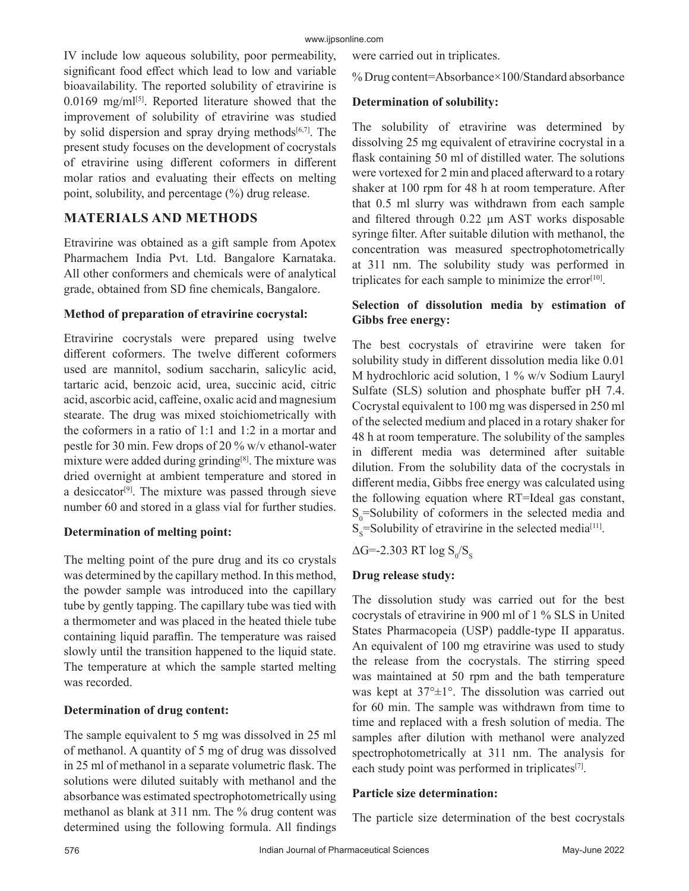IV include low aqueous solubility, poor permeability, significant food effect which lead to low and variable bioavailability. The reported solubility of etravirine is  $0.0169$  mg/ml<sup>[5]</sup>. Reported literature showed that the improvement of solubility of etravirine was studied by solid dispersion and spray drying methods $[6,7]$ . The present study focuses on the development of cocrystals of etravirine using different coformers in different molar ratios and evaluating their effects on melting point, solubility, and percentage (%) drug release.

# **MATERIALS AND METHODS**

Etravirine was obtained as a gift sample from Apotex Pharmachem India Pvt. Ltd. Bangalore Karnataka. All other conformers and chemicals were of analytical grade, obtained from SD fine chemicals, Bangalore.

## **Method of preparation of etravirine cocrystal:**

Etravirine cocrystals were prepared using twelve different coformers. The twelve different coformers used are mannitol, sodium saccharin, salicylic acid, tartaric acid, benzoic acid, urea, succinic acid, citric acid, ascorbic acid, caffeine, oxalic acid and magnesium stearate. The drug was mixed stoichiometrically with the coformers in a ratio of 1:1 and 1:2 in a mortar and pestle for 30 min. Few drops of 20 % w/v ethanol-water mixture were added during grinding[8]. The mixture was dried overnight at ambient temperature and stored in a desiccator<sup>[9]</sup>. The mixture was passed through sieve number 60 and stored in a glass vial for further studies.

## **Determination of melting point:**

The melting point of the pure drug and its co crystals was determined by the capillary method. In this method, the powder sample was introduced into the capillary tube by gently tapping. The capillary tube was tied with a thermometer and was placed in the heated thiele tube containing liquid paraffin. The temperature was raised slowly until the transition happened to the liquid state. The temperature at which the sample started melting was recorded.

## **Determination of drug content:**

The sample equivalent to 5 mg was dissolved in 25 ml of methanol. A quantity of 5 mg of drug was dissolved in 25 ml of methanol in a separate volumetric flask. The solutions were diluted suitably with methanol and the absorbance was estimated spectrophotometrically using methanol as blank at 311 nm. The % drug content was determined using the following formula. All findings

were carried out in triplicates.

% Drug content=Absorbance×100/Standard absorbance

# **Determination of solubility:**

The solubility of etravirine was determined by dissolving 25 mg equivalent of etravirine cocrystal in a flask containing 50 ml of distilled water. The solutions were vortexed for 2 min and placed afterward to a rotary shaker at 100 rpm for 48 h at room temperature. After that 0.5 ml slurry was withdrawn from each sample and filtered through 0.22 µm AST works disposable syringe filter. After suitable dilution with methanol, the concentration was measured spectrophotometrically at 311 nm. The solubility study was performed in triplicates for each sample to minimize the error $[10]$ .

# **Selection of dissolution media by estimation of Gibbs free energy:**

The best cocrystals of etravirine were taken for solubility study in different dissolution media like 0.01 M hydrochloric acid solution, 1 % w/v Sodium Lauryl Sulfate (SLS) solution and phosphate buffer pH 7.4. Cocrystal equivalent to 100 mg was dispersed in 250 ml of the selected medium and placed in a rotary shaker for 48 h at room temperature. The solubility of the samples in different media was determined after suitable dilution. From the solubility data of the cocrystals in different media, Gibbs free energy was calculated using the following equation where RT=Ideal gas constant,  $S_0$ =Solubility of coformers in the selected media and  $S_s$ =Solubility of etravirine in the selected media<sup>[11]</sup>.

 $\Delta$ G=-2.303 RT log  $\text{S}_{\text{0}}/\text{S}_{\text{S}}$ 

# **Drug release study:**

The dissolution study was carried out for the best cocrystals of etravirine in 900 ml of 1 % SLS in United States Pharmacopeia (USP) paddle-type II apparatus. An equivalent of 100 mg etravirine was used to study the release from the cocrystals. The stirring speed was maintained at 50 rpm and the bath temperature was kept at 37°±1°. The dissolution was carried out for 60 min. The sample was withdrawn from time to time and replaced with a fresh solution of media. The samples after dilution with methanol were analyzed spectrophotometrically at 311 nm. The analysis for each study point was performed in triplicates<sup>[7]</sup>.

## **Particle size determination:**

The particle size determination of the best cocrystals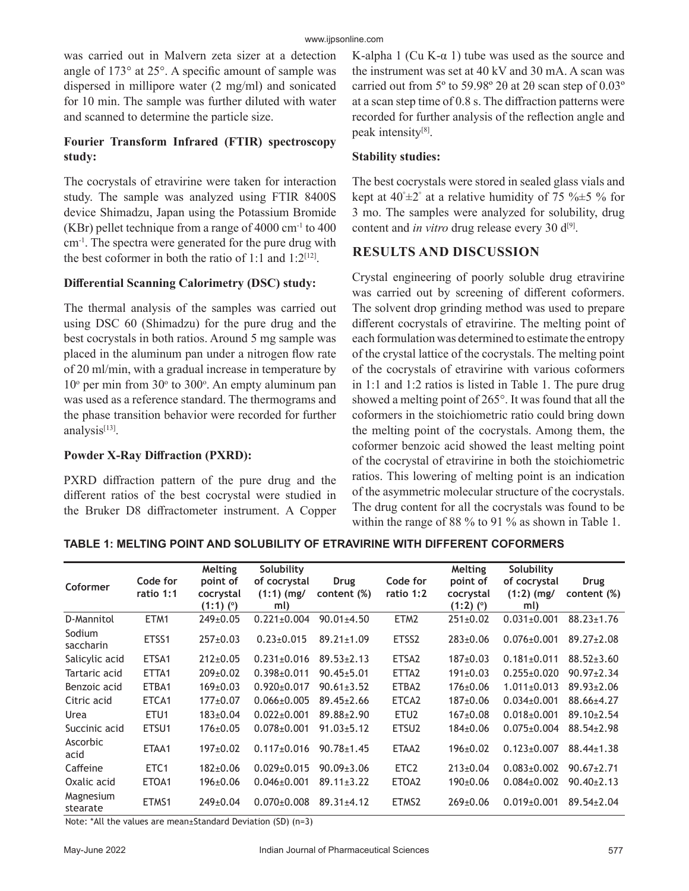was carried out in Malvern zeta sizer at a detection angle of 173° at 25°. A specific amount of sample was dispersed in millipore water (2 mg/ml) and sonicated for 10 min. The sample was further diluted with water and scanned to determine the particle size.

# **Fourier Transform Infrared (FTIR) spectroscopy study:**

The cocrystals of etravirine were taken for interaction study. The sample was analyzed using FTIR 8400S device Shimadzu, Japan using the Potassium Bromide (KBr) pellet technique from a range of  $4000 \text{ cm}^{-1}$  to  $400$ cm-1. The spectra were generated for the pure drug with the best coformer in both the ratio of 1:1 and  $1:2^{[12]}$ .

## **Differential Scanning Calorimetry (DSC) study:**

The thermal analysis of the samples was carried out using DSC 60 (Shimadzu) for the pure drug and the best cocrystals in both ratios. Around 5 mg sample was placed in the aluminum pan under a nitrogen flow rate of 20 ml/min, with a gradual increase in temperature by  $10^{\circ}$  per min from  $30^{\circ}$  to  $300^{\circ}$ . An empty aluminum pan was used as a reference standard. The thermograms and the phase transition behavior were recorded for further analysis<sup>[13]</sup>.

## **Powder X-Ray Diffraction (PXRD):**

PXRD diffraction pattern of the pure drug and the different ratios of the best cocrystal were studied in the Bruker D8 diffractometer instrument. A Copper K-alpha 1 (Cu K- $\alpha$  1) tube was used as the source and the instrument was set at 40 kV and 30 mA. A scan was carried out from 5º to 59.98º 2θ at 2θ scan step of 0.03º at a scan step time of 0.8 s. The diffraction patterns were recorded for further analysis of the reflection angle and peak intensity[8].

## **Stability studies:**

The best cocrystals were stored in sealed glass vials and kept at  $40^{\circ} \pm 2^{\circ}$  at a relative humidity of 75 % $\pm$ 5 % for 3 mo. The samples were analyzed for solubility, drug content and *in vitro* drug release every 30 d<sup>[9]</sup>.

# **RESULTS AND DISCUSSION**

Crystal engineering of poorly soluble drug etravirine was carried out by screening of different coformers. The solvent drop grinding method was used to prepare different cocrystals of etravirine. The melting point of each formulation was determined to estimate the entropy of the crystal lattice of the cocrystals. The melting point of the cocrystals of etravirine with various coformers in 1:1 and 1:2 ratios is listed in Table 1. The pure drug showed a melting point of 265°. It was found that all the coformers in the stoichiometric ratio could bring down the melting point of the cocrystals. Among them, the coformer benzoic acid showed the least melting point of the cocrystal of etravirine in both the stoichiometric ratios. This lowering of melting point is an indication of the asymmetric molecular structure of the cocrystals. The drug content for all the cocrystals was found to be within the range of 88 % to 91 % as shown in Table 1.

| Coformer              | Code for<br>ratio 1:1 | Melting<br>point of<br>cocrystal<br>$(1:1)$ (°) | Solubility<br>of cocrystal<br>$(1:1)$ (mg/<br>ml) | <b>Drug</b><br>content (%) | Code for<br>ratio 1:2 | Melting<br>point of<br>cocrystal<br>$(1:2)$ (°) | Solubility<br>of cocrystal<br>$(1:2)$ (mg/<br>ml) | Drug<br>content (%) |
|-----------------------|-----------------------|-------------------------------------------------|---------------------------------------------------|----------------------------|-----------------------|-------------------------------------------------|---------------------------------------------------|---------------------|
| D-Mannitol            | ETM1                  | $249+0.05$                                      | $0.221 \pm 0.004$                                 | $90.01 \pm 4.50$           | ETM <sub>2</sub>      | $251 \pm 0.02$                                  | $0.031 \pm 0.001$                                 | $88.23 \pm 1.76$    |
| Sodium<br>saccharin   | ETSS1                 | $257+0.03$                                      | $0.23 \pm 0.015$                                  | $89.21 \pm 1.09$           | ETSS2                 | $283 \pm 0.06$                                  | $0.076 \pm 0.001$                                 | $89.27 \pm 2.08$    |
| Salicylic acid        | ETSA1                 | $212 \pm 0.05$                                  | $0.231 \pm 0.016$                                 | $89.53 \pm 2.13$           | ETSA <sub>2</sub>     | $187+0.03$                                      | $0.181 \pm 0.011$                                 | $88.52 \pm 3.60$    |
| Tartaric acid         | ETTA1                 | $209 \pm 0.02$                                  | $0.398 \pm 0.011$                                 | $90.45 \pm 5.01$           | ETTA <sub>2</sub>     | $191 \pm 0.03$                                  | $0.255 \pm 0.020$                                 | $90.97 \pm 2.34$    |
| Benzoic acid          | ETBA1                 | $169 \pm 0.03$                                  | $0.920 \pm 0.017$                                 | $90.61 \pm 3.52$           | ETBA2                 | $176 \pm 0.06$                                  | $1.011\pm0.013$                                   | $89.93 \pm 2.06$    |
| Citric acid           | ETCA1                 | $177+0.07$                                      | $0.066 \pm 0.005$                                 | $89.45 \pm 2.66$           | ETCA2                 | $187+0.06$                                      | $0.034 \pm 0.001$                                 | 88.66±4.27          |
| Urea                  | ETU <sub>1</sub>      | $183 \pm 0.04$                                  | $0.022 \pm 0.001$                                 | $89.88 \pm 2.90$           | ETU <sub>2</sub>      | $167+0.08$                                      | $0.018 \pm 0.001$                                 | $89.10 \pm 2.54$    |
| Succinic acid         | ETSU1                 | $176 \pm 0.05$                                  | $0.078 \pm 0.001$                                 | $91.03 \pm 5.12$           | ETSU <sub>2</sub>     | $184 \pm 0.06$                                  | $0.075 \pm 0.004$                                 | $88.54 \pm 2.98$    |
| Ascorbic<br>acid      | ETAA1                 | $197 \pm 0.02$                                  | $0.117 \pm 0.016$                                 | $90.78 \pm 1.45$           | ETAA2                 | $196 \pm 0.02$                                  | $0.123 \pm 0.007$                                 | $88.44 \pm 1.38$    |
| Caffeine              | ETC <sub>1</sub>      | $182 \pm 0.06$                                  | $0.029 \pm 0.015$                                 | $90.09 \pm 3.06$           | ETC <sub>2</sub>      | $213 \pm 0.04$                                  | $0.083 \pm 0.002$                                 | $90.67 \pm 2.71$    |
| Oxalic acid           | ETOA1                 | $196 \pm 0.06$                                  | $0.046 \pm 0.001$                                 | $89.11 \pm 3.22$           | ETOA2                 | $190+0.06$                                      | $0.084 \pm 0.002$                                 | $90.40 \pm 2.13$    |
| Magnesium<br>stearate | ETMS1                 | 249±0.04                                        | $0.070 \pm 0.008$                                 | $89.31 \pm 4.12$           | ETMS2                 | $269 \pm 0.06$                                  | $0.019 \pm 0.001$                                 | $89.54 \pm 2.04$    |

**TABLE 1: MELTING POINT AND SOLUBILITY OF ETRAVIRINE WITH DIFFERENT COFORMERS**

Note: \*All the values are mean±Standard Deviation (SD) (n=3)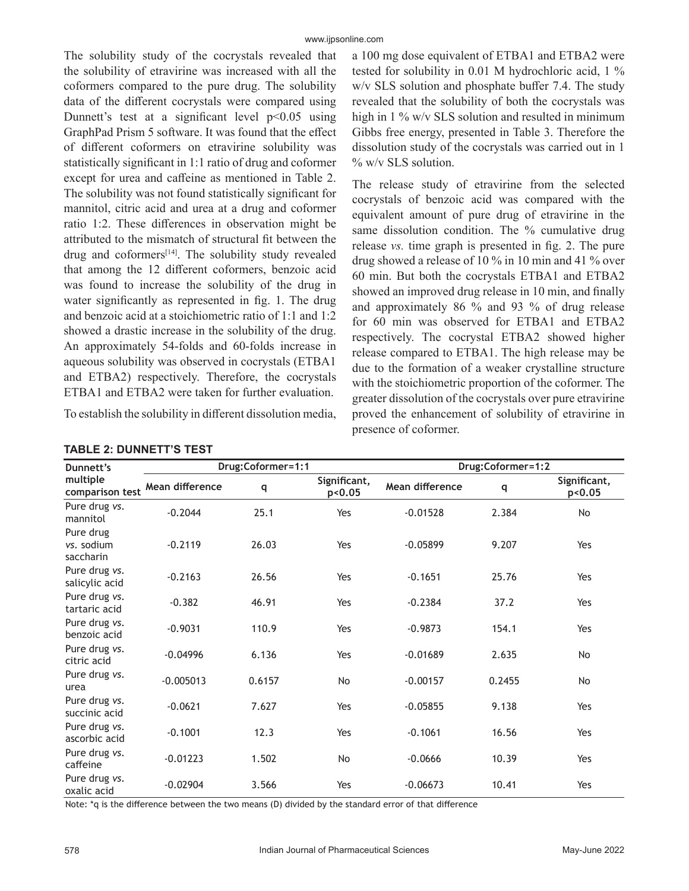The solubility study of the cocrystals revealed that the solubility of etravirine was increased with all the coformers compared to the pure drug. The solubility data of the different cocrystals were compared using Dunnett's test at a significant level  $p<0.05$  using GraphPad Prism 5 software. It was found that the effect of different coformers on etravirine solubility was statistically significant in 1:1 ratio of drug and coformer except for urea and caffeine as mentioned in Table 2. The solubility was not found statistically significant for mannitol, citric acid and urea at a drug and coformer ratio 1:2. These differences in observation might be attributed to the mismatch of structural fit between the drug and coformers<sup>[14]</sup>. The solubility study revealed that among the 12 different coformers, benzoic acid was found to increase the solubility of the drug in water significantly as represented in fig. 1. The drug and benzoic acid at a stoichiometric ratio of 1:1 and 1:2 showed a drastic increase in the solubility of the drug. An approximately 54-folds and 60-folds increase in aqueous solubility was observed in cocrystals (ETBA1 and ETBA2) respectively. Therefore, the cocrystals ETBA1 and ETBA2 were taken for further evaluation.

To establish the solubility in different dissolution media,

**Dunnett's multiple comparison test Drug:Coformer=1:1 Drug:Coformer=1:2 Mean difference <sup>q</sup> Significant, p<0.05 Mean difference <sup>q</sup> Significant, p<0.05** Pure drug *vs.* Pure and any v.f. 1992. The contract of the contract of the 2.384 No. 2.384 No. 2.384 No. 2.384 No. 2.384 No. 2.384 No. 2.384 No. 2.384 No. 2.384 No. 2.384 No. 2.384 No. 2.384 No. 2.384 No. 2.384 No. 2.384 No. 2.384 No. 2. Pure drug *vs.* sodium saccharin -0.2119 26.03 Yes -0.05899 9.207 Yes Pure drug *vs.* salicylic acid -0.2163 26.56 Yes -0.1651 25.76 Yes Pure drug *vs.* tartaric acid -0.382 46.91 Yes -0.2384 37.2 Yes Pure drug *vs.* benzoic acid -0.9031 110.9 Yes -0.9873 154.1 Yes Pure drug *vs.* Pure and strategy of the citric acid citric acid citric acid citric acid citric acid citric acid Pure drug *vs.* urea -0.005013 0.6157 No -0.00157 0.2455 No Pure drug *vs.* succinic acid -0.0621 7.627 Yes -0.05855 9.138 Yes Pure drug *vs.* ascorbic acid -0.1001 12.3 Yes -0.1061 16.56 Yes -0.1061 16.56 Yes Pure drug *vs.* Pure and any state of the 10.01223 1.502 No -0.0666 10.39 Yes Pure drug *vs.* oxalic acid <sup>-0.02904</sup> 3.566 Yes -0.06673 10.41 Yes

## **TABLE 2: DUNNETT'S TEST**

Note: \*q is the difference between the two means (D) divided by the standard error of that difference

a 100 mg dose equivalent of ETBA1 and ETBA2 were tested for solubility in 0.01 M hydrochloric acid, 1 % w/v SLS solution and phosphate buffer 7.4. The study revealed that the solubility of both the cocrystals was high in 1 % w/v SLS solution and resulted in minimum Gibbs free energy, presented in Table 3. Therefore the dissolution study of the cocrystals was carried out in 1 % w/v SLS solution.

The release study of etravirine from the selected cocrystals of benzoic acid was compared with the equivalent amount of pure drug of etravirine in the same dissolution condition. The % cumulative drug release *vs.* time graph is presented in fig. 2. The pure drug showed a release of 10 % in 10 min and 41 % over 60 min. But both the cocrystals ETBA1 and ETBA2 showed an improved drug release in 10 min, and finally and approximately 86 % and 93 % of drug release for 60 min was observed for ETBA1 and ETBA2 respectively. The cocrystal ETBA2 showed higher release compared to ETBA1. The high release may be due to the formation of a weaker crystalline structure with the stoichiometric proportion of the coformer. The greater dissolution of the cocrystals over pure etravirine proved the enhancement of solubility of etravirine in presence of coformer.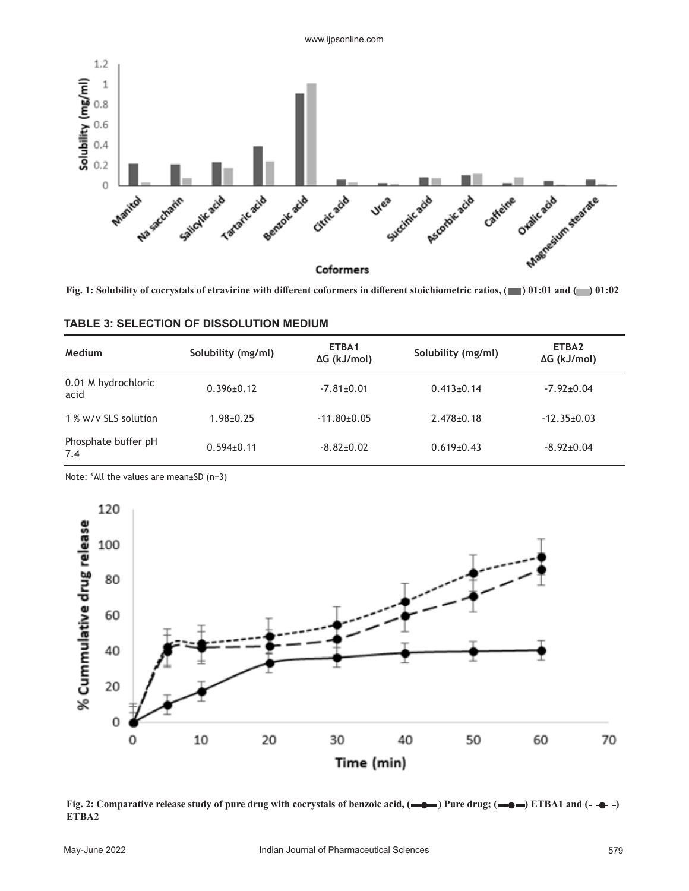

Fig. 1: Solubility of cocrystals of etravirine with different coformers in different stoichiometric ratios,  $($  01:01 and  $($  01:02

| <b>Medium</b>               | Solubility (mg/ml) | ETBA1<br>$\Delta G$ (kJ/mol) | Solubility (mg/ml) | ETBA2<br>$\Delta G$ (kJ/mol) |
|-----------------------------|--------------------|------------------------------|--------------------|------------------------------|
| 0.01 M hydrochloric<br>acid | $0.396 \pm 0.12$   | $-7.81 \pm 0.01$             | $0.413 \pm 0.14$   | $-7.92 \pm 0.04$             |
| 1 % w/v SLS solution        | $1.98 + 0.25$      | $-11.80+0.05$                | $2.478 \pm 0.18$   | $-12.35+0.03$                |
| Phosphate buffer pH<br>7.4  | $0.594 \pm 0.11$   | $-8.82+0.02$                 | $0.619 \pm 0.43$   | $-8.92 \pm 0.04$             |

#### **TABLE 3: SELECTION OF DISSOLUTION MEDIUM**

Note: \*All the values are mean±SD (n=3)



**Fig. 2: Comparative release study of pure drug with cocrystals of benzoic acid,**  $\left(\begin{array}{c}\blacklozenge\blacklozenge\end{array}\right)$  **Pure drug;**  $\left(\begin{array}{c}\blacklozenge\blacklozenge\end{array}\right)$  **ETBA1 and**  $\left(\begin{array}{c}\blacklozenge\end{array}\right)$ **ETBA2**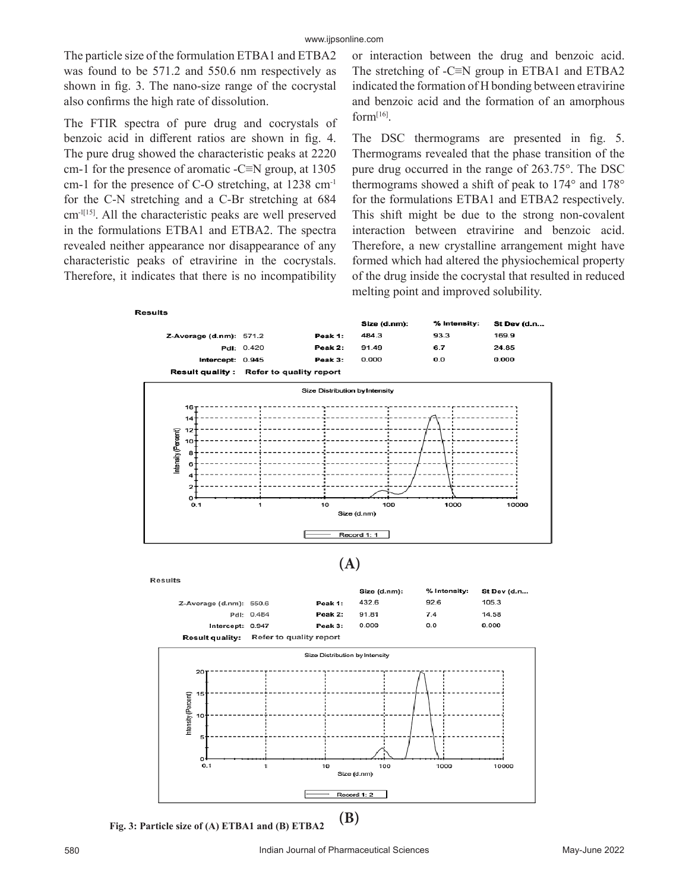The particle size of the formulation ETBA1 and ETBA2 was found to be 571.2 and 550.6 nm respectively as shown in fig. 3. The nano-size range of the cocrystal also confirms the high rate of dissolution.

The FTIR spectra of pure drug and cocrystals of benzoic acid in different ratios are shown in fig. 4. The pure drug showed the characteristic peaks at 2220 cm-1 for the presence of aromatic -C≡N group, at  $1305$ cm-1 for the presence of C-O stretching, at 1238 cm-1 for the C-N stretching and a C-Br stretching at 684 cm-1[15]. All the characteristic peaks are well preserved in the formulations ETBA1 and ETBA2. The spectra revealed neither appearance nor disappearance of any characteristic peaks of etravirine in the cocrystals. Therefore, it indicates that there is no incompatibility

or interaction between the drug and benzoic acid. The stretching of -C≡N group in ETBA1 and ETBA2 indicated the formation of H bonding between etravirine and benzoic acid and the formation of an amorphous form[16].

The DSC thermograms are presented in fig. 5. Thermograms revealed that the phase transition of the pure drug occurred in the range of 263.75°. The DSC thermograms showed a shift of peak to 174° and 178° for the formulations ETBA1 and ETBA2 respectively. This shift might be due to the strong non-covalent interaction between etravirine and benzoic acid. Therefore, a new crystalline arrangement might have formed which had altered the physiochemical property of the drug inside the cocrystal that resulted in reduced melting point and improved solubility.



**Fig. 3: Particle size of (A) ETBA1 and (B) ETBA2**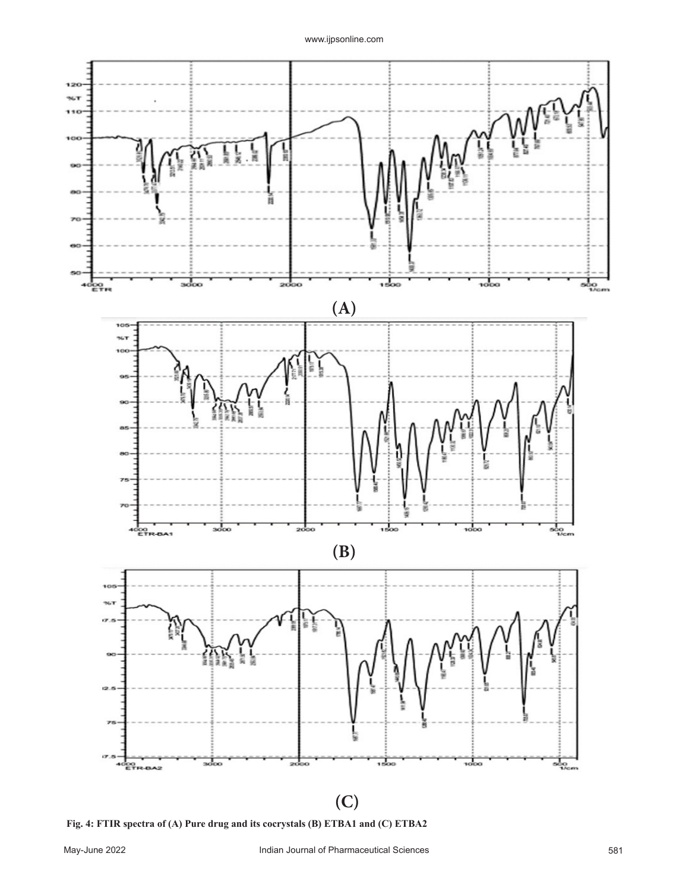

**Fig. 4: FTIR spectra of (A) Pure drug and its cocrystals (B) ETBA1 and (C) ETBA2**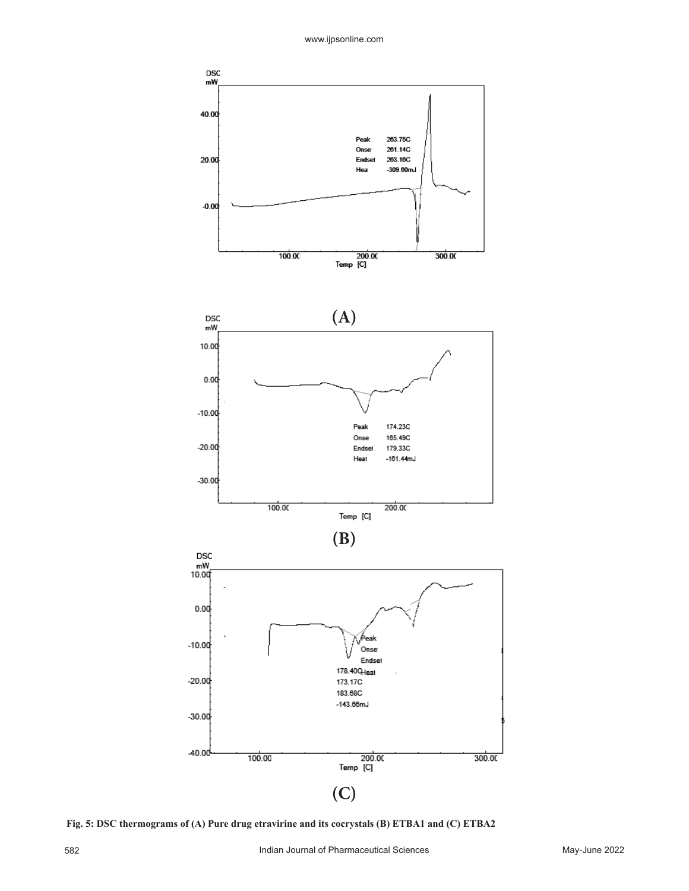263.75C

261.14C

263.16C  $-309.60mJ$ 

Peak

Onse

Hea

Endset

DSC<br>mW\_

40.00

20.00

 $-0.00$ 



**Fig. 5: DSC thermograms of (A) Pure drug etravirine and its cocrystals (B) ETBA1 and (C) ETBA2**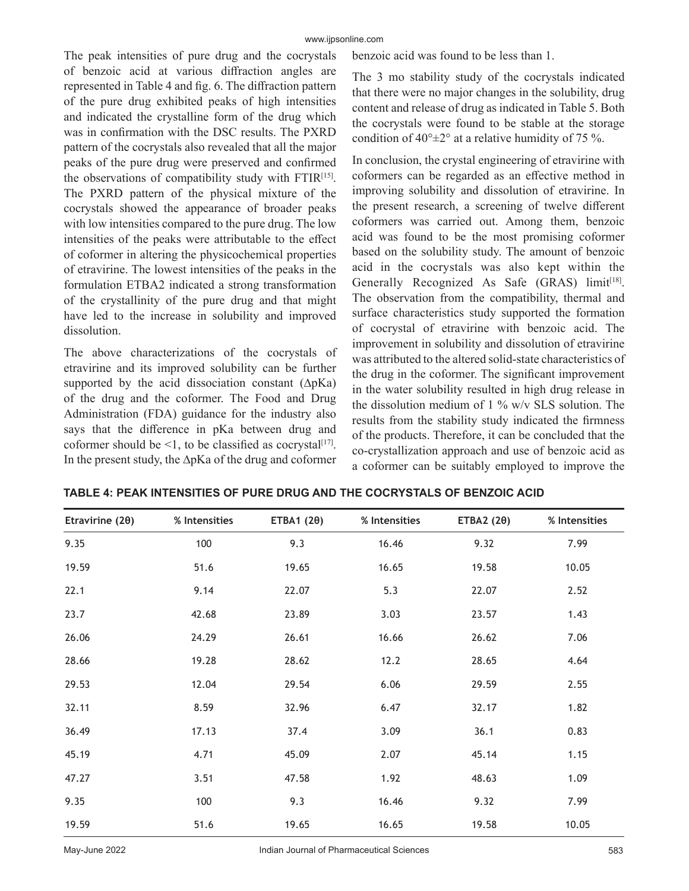The peak intensities of pure drug and the cocrystals of benzoic acid at various diffraction angles are represented in Table 4 and fig. 6. The diffraction pattern of the pure drug exhibited peaks of high intensities and indicated the crystalline form of the drug which was in confirmation with the DSC results. The PXRD pattern of the cocrystals also revealed that all the major peaks of the pure drug were preserved and confirmed the observations of compatibility study with FTIR<sup>[15]</sup>. The PXRD pattern of the physical mixture of the cocrystals showed the appearance of broader peaks with low intensities compared to the pure drug. The low intensities of the peaks were attributable to the effect of coformer in altering the physicochemical properties of etravirine. The lowest intensities of the peaks in the formulation ETBA2 indicated a strong transformation of the crystallinity of the pure drug and that might have led to the increase in solubility and improved dissolution.

The above characterizations of the cocrystals of etravirine and its improved solubility can be further supported by the acid dissociation constant (∆pKa) of the drug and the coformer. The Food and Drug Administration (FDA) guidance for the industry also says that the difference in pKa between drug and coformer should be <1, to be classified as cocrystal<sup>[17]</sup>. In the present study, the ∆pKa of the drug and coformer benzoic acid was found to be less than 1.

The 3 mo stability study of the cocrystals indicated that there were no major changes in the solubility, drug content and release of drug as indicated in Table 5. Both the cocrystals were found to be stable at the storage condition of  $40^{\circ} \pm 2^{\circ}$  at a relative humidity of 75 %.

In conclusion, the crystal engineering of etravirine with coformers can be regarded as an effective method in improving solubility and dissolution of etravirine. In the present research, a screening of twelve different coformers was carried out. Among them, benzoic acid was found to be the most promising coformer based on the solubility study. The amount of benzoic acid in the cocrystals was also kept within the Generally Recognized As Safe  $(GRAS)$  limit<sup>[18]</sup>. The observation from the compatibility, thermal and surface characteristics study supported the formation of cocrystal of etravirine with benzoic acid. The improvement in solubility and dissolution of etravirine was attributed to the altered solid-state characteristics of the drug in the coformer. The significant improvement in the water solubility resulted in high drug release in the dissolution medium of 1 % w/v SLS solution. The results from the stability study indicated the firmness of the products. Therefore, it can be concluded that the co-crystallization approach and use of benzoic acid as a coformer can be suitably employed to improve the

| Etravirine $(2\theta)$ | % Intensities | ETBA1 $(2\theta)$ | % Intensities | ETBA2 $(2\theta)$ | % Intensities |
|------------------------|---------------|-------------------|---------------|-------------------|---------------|
| 9.35                   | 100           | 9.3               | 16.46         | 9.32              | 7.99          |
| 19.59                  | 51.6          | 19.65             | 16.65         | 19.58             | 10.05         |
| 22.1                   | 9.14          | 22.07             | 5.3           | 22.07             | 2.52          |
| 23.7                   | 42.68         | 23.89             | 3.03          | 23.57             | 1.43          |
| 26.06                  | 24.29         | 26.61             | 16.66         | 26.62             | 7.06          |
| 28.66                  | 19.28         | 28.62             | 12.2          | 28.65             | 4.64          |
| 29.53                  | 12.04         | 29.54             | 6.06          | 29.59             | 2.55          |
| 32.11                  | 8.59          | 32.96             | 6.47          | 32.17             | 1.82          |
| 36.49                  | 17.13         | 37.4              | 3.09          | 36.1              | 0.83          |
| 45.19                  | 4.71          | 45.09             | 2.07          | 45.14             | 1.15          |
| 47.27                  | 3.51          | 47.58             | 1.92          | 48.63             | 1.09          |
| 9.35                   | 100           | 9.3               | 16.46         | 9.32              | 7.99          |
| 19.59                  | 51.6          | 19.65             | 16.65         | 19.58             | 10.05         |

**TABLE 4: PEAK INTENSITIES OF PURE DRUG AND THE COCRYSTALS OF BENZOIC ACID**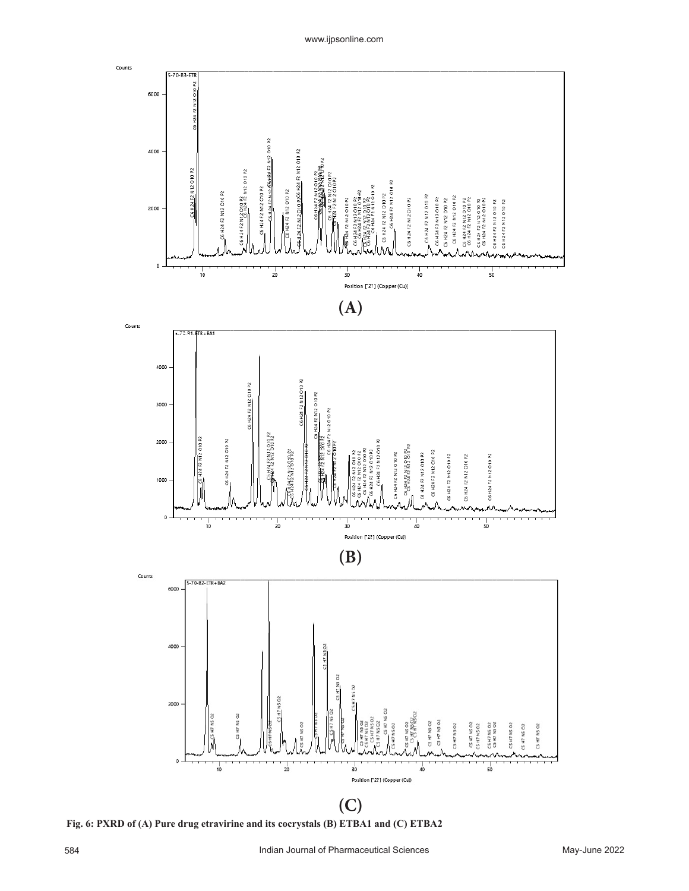

**Fig. 6: PXRD of (A) Pure drug etravirine and its cocrystals (B) ETBA1 and (C) ETBA2**